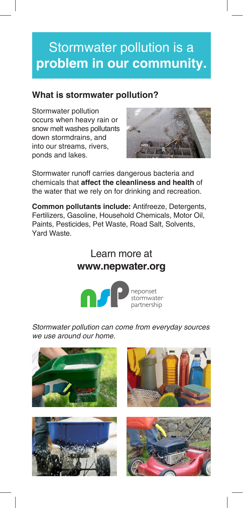## Stormwater pollution is a **problem in our community.**

### **What is stormwater pollution?**

Stormwater pollution occurs when heavy rain or snow melt washes pollutants down stormdrains, and into our streams, rivers, ponds and lakes.



Stormwater runoff carries dangerous bacteria and chemicals that **affect the cleanliness and health** of the water that we rely on for drinking and recreation.

**Common pollutants include:** Antifreeze, Detergents, Fertilizers, Gasoline, Household Chemicals, Motor Oil, Paints, Pesticides, Pet Waste, Road Salt, Solvents, Yard Waste.

## Learn more at **www.nepwater.org**



Stormwater pollution can come from everyday sources we use around our home.